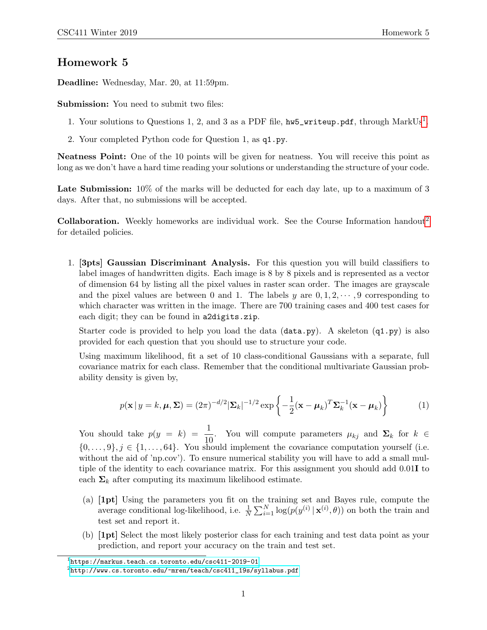## Homework 5

Deadline: Wednesday, Mar. 20, at 11:59pm.

Submission: You need to submit two files:

- [1](#page-0-0). Your solutions to Questions 1, 2, and 3 as a PDF file,  $hw5\_writeup.pdf$ , through  $MarkUs<sup>1</sup>$ .
- 2. Your completed Python code for Question 1, as q1.py.

Neatness Point: One of the 10 points will be given for neatness. You will receive this point as long as we don't have a hard time reading your solutions or understanding the structure of your code.

Late Submission:  $10\%$  of the marks will be deducted for each day late, up to a maximum of 3 days. After that, no submissions will be accepted.

Collaboration. Weekly homeworks are individual work. See the Course Information handout<sup>[2](#page-0-1)</sup> for detailed policies.

1. [3pts] Gaussian Discriminant Analysis. For this question you will build classifiers to label images of handwritten digits. Each image is 8 by 8 pixels and is represented as a vector of dimension 64 by listing all the pixel values in raster scan order. The images are grayscale and the pixel values are between 0 and 1. The labels y are  $0, 1, 2, \dots, 9$  corresponding to which character was written in the image. There are 700 training cases and 400 test cases for each digit; they can be found in a2digits.zip.

Starter code is provided to help you load the data  $(\text{data.py})$ . A skeleton  $(q_1, py)$  is also provided for each question that you should use to structure your code.

Using maximum likelihood, fit a set of 10 class-conditional Gaussians with a separate, full covariance matrix for each class. Remember that the conditional multivariate Gaussian probability density is given by,

$$
p(\mathbf{x} \mid y = k, \boldsymbol{\mu}, \boldsymbol{\Sigma}) = (2\pi)^{-d/2} |\boldsymbol{\Sigma}_k|^{-1/2} \exp\left\{-\frac{1}{2}(\mathbf{x} - \boldsymbol{\mu}_k)^T \boldsymbol{\Sigma}_k^{-1}(\mathbf{x} - \boldsymbol{\mu}_k)\right\}
$$
(1)

You should take  $p(y = k) = \frac{1}{10}$ . You will compute parameters  $\mu_{kj}$  and  $\Sigma_k$  for  $k \in \mathbb{R}$ .  $\{0,\ldots,9\}, j \in \{1,\ldots,64\}.$  You should implement the covariance computation yourself (i.e. without the aid of 'np.cov'). To ensure numerical stability you will have to add a small multiple of the identity to each covariance matrix. For this assignment you should add 0.01I to each  $\Sigma_k$  after computing its maximum likelihood estimate.

- (a) [1pt] Using the parameters you fit on the training set and Bayes rule, compute the average conditional log-likelihood, i.e.  $\frac{1}{N} \sum_{i=1}^{N} \log(p(y^{(i)} | \mathbf{x}^{(i)}, \theta))$  on both the train and test set and report it.
- (b) [1pt] Select the most likely posterior class for each training and test data point as your prediction, and report your accuracy on the train and test set.

<span id="page-0-0"></span> $^1$ https://markus.teach.cs.toronto.edu/csc $411-2019-01$ 

<span id="page-0-1"></span> $^{2}$ http://www.cs.toronto.edu/~mren/teach/csc $411\_19$ s/syllabus.pdf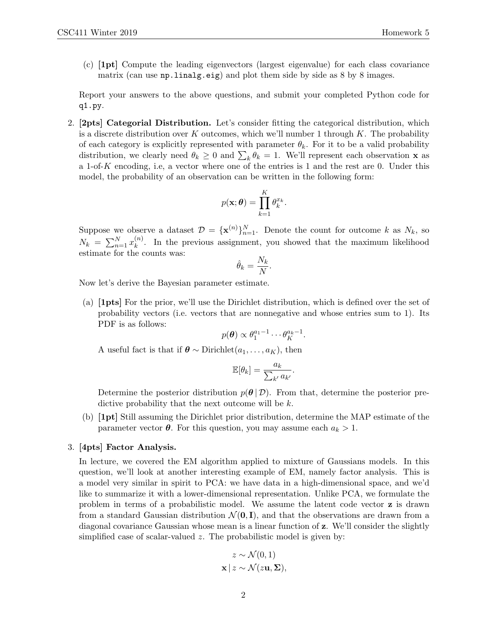(c) [1pt] Compute the leading eigenvectors (largest eigenvalue) for each class covariance matrix (can use np.linalg.eig) and plot them side by side as 8 by 8 images.

Report your answers to the above questions, and submit your completed Python code for q1.py.

2. [2pts] Categorial Distribution. Let's consider fitting the categorical distribution, which is a discrete distribution over K outcomes, which we'll number 1 through K. The probability of each category is explicitly represented with parameter  $\theta_k$ . For it to be a valid probability distribution, we clearly need  $\theta_k \geq 0$  and  $\sum_k \theta_k = 1$ . We'll represent each observation **x** as a 1-of-K encoding, i.e, a vector where one of the entries is 1 and the rest are 0. Under this model, the probability of an observation can be written in the following form:

$$
p(\mathbf{x};\boldsymbol{\theta}) = \prod_{k=1}^K \theta_k^{x_k}.
$$

Suppose we observe a dataset  $\mathcal{D} = {\mathbf{x}^{(n)}}_{n=1}^N$ . Denote the count for outcome k as  $N_k$ , so  $N_k = \sum_{n=1}^{N} x_k^{(n)}$  $\binom{n}{k}$ . In the previous assignment, you showed that the maximum likelihood estimate for the counts was:

$$
\hat{\theta}_k = \frac{N_k}{N}
$$

.

Now let's derive the Bayesian parameter estimate.

(a) [1pts] For the prior, we'll use the Dirichlet distribution, which is defined over the set of probability vectors (i.e. vectors that are nonnegative and whose entries sum to 1). Its PDF is as follows:

$$
p(\boldsymbol{\theta}) \propto \theta_1^{a_1-1} \cdots \theta_K^{a_k-1}.
$$

A useful fact is that if  $\boldsymbol{\theta} \sim \text{Dirichlet}(a_1, \ldots, a_K)$ , then

$$
\mathbb{E}[\theta_k] = \frac{a_k}{\sum_{k'} a_{k'}}.
$$

Determine the posterior distribution  $p(\theta | \mathcal{D})$ . From that, determine the posterior predictive probability that the next outcome will be k.

(b) [1pt] Still assuming the Dirichlet prior distribution, determine the MAP estimate of the parameter vector  $\theta$ . For this question, you may assume each  $a_k > 1$ .

## 3. [4pts] Factor Analysis.

In lecture, we covered the EM algorithm applied to mixture of Gaussians models. In this question, we'll look at another interesting example of EM, namely factor analysis. This is a model very similar in spirit to PCA: we have data in a high-dimensional space, and we'd like to summarize it with a lower-dimensional representation. Unlike PCA, we formulate the problem in terms of a probabilistic model. We assume the latent code vector z is drawn from a standard Gaussian distribution  $\mathcal{N}(\mathbf{0}, \mathbf{I})$ , and that the observations are drawn from a diagonal covariance Gaussian whose mean is a linear function of z. We'll consider the slightly simplified case of scalar-valued z. The probabilistic model is given by:

$$
z \sim \mathcal{N}(0, 1)
$$

$$
\mathbf{x} \mid z \sim \mathcal{N}(z\mathbf{u}, \Sigma),
$$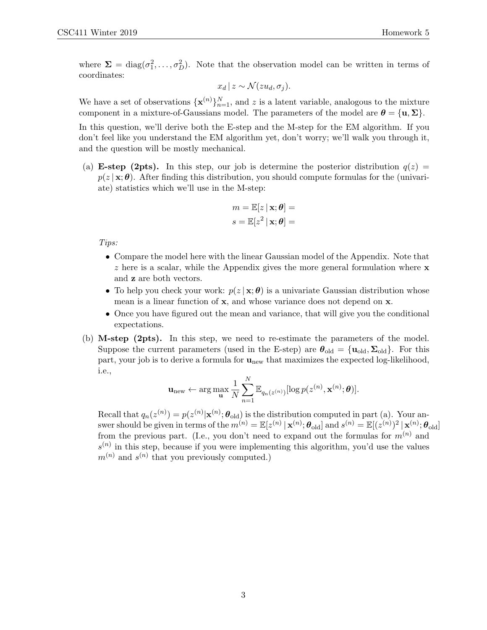where  $\Sigma = \text{diag}(\sigma_1^2, \dots, \sigma_D^2)$ . Note that the observation model can be written in terms of coordinates:

$$
x_d \mid z \sim \mathcal{N}(zu_d, \sigma_j).
$$

We have a set of observations  $\{\mathbf{x}^{(n)}\}_{n=1}^N$ , and z is a latent variable, analogous to the mixture component in a mixture-of-Gaussians model. The parameters of the model are  $\theta = {\mathbf{u}, \Sigma}$ .

In this question, we'll derive both the E-step and the M-step for the EM algorithm. If you don't feel like you understand the EM algorithm yet, don't worry; we'll walk you through it, and the question will be mostly mechanical.

(a) **E-step (2pts).** In this step, our job is determine the posterior distribution  $q(z)$  =  $p(z | x; \theta)$ . After finding this distribution, you should compute formulas for the (univariate) statistics which we'll use in the M-step:

$$
m = \mathbb{E}[z \mid \mathbf{x}; \boldsymbol{\theta}] =
$$

$$
s = \mathbb{E}[z^2 \mid \mathbf{x}; \boldsymbol{\theta}] =
$$

Tips:

- Compare the model here with the linear Gaussian model of the Appendix. Note that  $z$  here is a scalar, while the Appendix gives the more general formulation where  $x$ and z are both vectors.
- To help you check your work:  $p(z | \mathbf{x}; \theta)$  is a univariate Gaussian distribution whose mean is a linear function of x, and whose variance does not depend on x.
- Once you have figured out the mean and variance, that will give you the conditional expectations.
- (b) M-step (2pts). In this step, we need to re-estimate the parameters of the model. Suppose the current parameters (used in the E-step) are  $\theta_{old} = {\mathbf{u}_{old}, \boldsymbol{\Sigma}_{old}}$ . For this part, your job is to derive a formula for  $\mathbf{u}_{\text{new}}$  that maximizes the expected log-likelihood, i.e.,

$$
\mathbf{u}_{\text{new}} \leftarrow \arg\max_{\mathbf{u}} \frac{1}{N} \sum_{n=1}^{N} \mathbb{E}_{q_n(z^{(n)})}[\log p(z^{(n)}, \mathbf{x}^{(n)}; \boldsymbol{\theta})].
$$

Recall that  $q_n(z^{(n)}) = p(z^{(n)} | \mathbf{x}^{(n)}; \boldsymbol{\theta}_{old})$  is the distribution computed in part (a). Your answer should be given in terms of the  $m^{(n)} = \mathbb{E}[z^{(n)} | \mathbf{x}^{(n)}; \boldsymbol{\theta}_{\text{old}}]$  and  $s^{(n)} = \mathbb{E}[(z^{(n)})^2 | \mathbf{x}^{(n)}; \boldsymbol{\theta}_{\text{old}}]$ from the previous part. (I.e., you don't need to expand out the formulas for  $m^{(n)}$  and  $s^{(n)}$  in this step, because if you were implementing this algorithm, you'd use the values  $m^{(n)}$  and  $s^{(n)}$  that you previously computed.)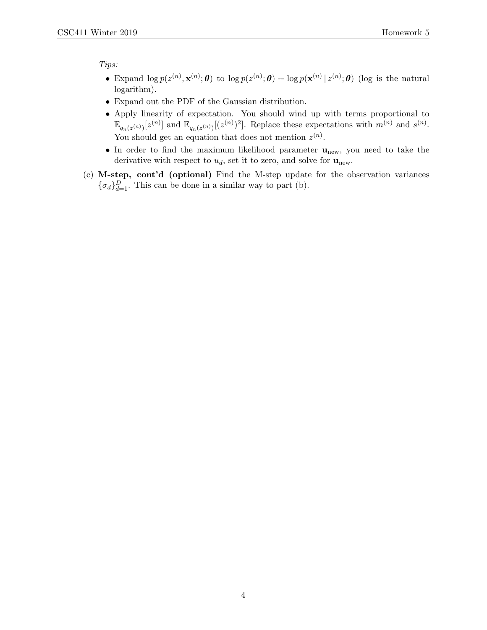Tips:

- Expand  $\log p(z^{(n)}, \mathbf{x}^{(n)}; \theta)$  to  $\log p(z^{(n)}; \theta) + \log p(\mathbf{x}^{(n)} | z^{(n)}; \theta)$  (log is the natural logarithm).
- Expand out the PDF of the Gaussian distribution.
- Apply linearity of expectation. You should wind up with terms proportional to  $\mathbb{E}_{q_n(z^{(n)})}[z^{(n)}]$  and  $\mathbb{E}_{q_n(z^{(n)})}[(z^{(n)})^2]$ . Replace these expectations with  $m^{(n)}$  and  $s^{(n)}$ . You should get an equation that does not mention  $z^{(n)}$ .
- In order to find the maximum likelihood parameter  $\mathbf{u}_{\text{new}}$ , you need to take the derivative with respect to  $u_d$ , set it to zero, and solve for  $\mathbf{u}_{\text{new}}$ .
- (c) M-step, cont'd (optional) Find the M-step update for the observation variances  ${\lbrace \sigma_d \rbrace}_{d=1}^D$ . This can be done in a similar way to part (b).